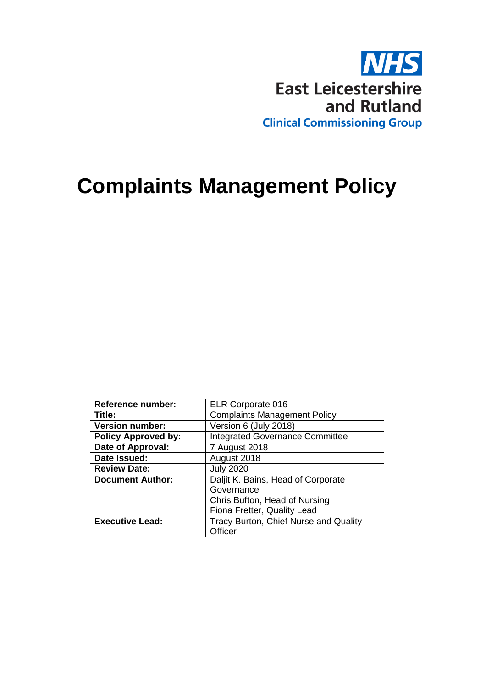

# **Complaints Management Policy**

| <b>Reference number:</b>   | <b>ELR Corporate 016</b>               |  |
|----------------------------|----------------------------------------|--|
| Title:                     | <b>Complaints Management Policy</b>    |  |
| <b>Version number:</b>     | Version 6 (July 2018)                  |  |
| <b>Policy Approved by:</b> | <b>Integrated Governance Committee</b> |  |
| Date of Approval:          | 7 August 2018                          |  |
| Date Issued:               | August 2018                            |  |
| <b>Review Date:</b>        | <b>July 2020</b>                       |  |
| <b>Document Author:</b>    | Daljit K. Bains, Head of Corporate     |  |
|                            | Governance                             |  |
|                            | Chris Bufton, Head of Nursing          |  |
|                            | Fiona Fretter, Quality Lead            |  |
| <b>Executive Lead:</b>     | Tracy Burton, Chief Nurse and Quality  |  |
|                            | Officer                                |  |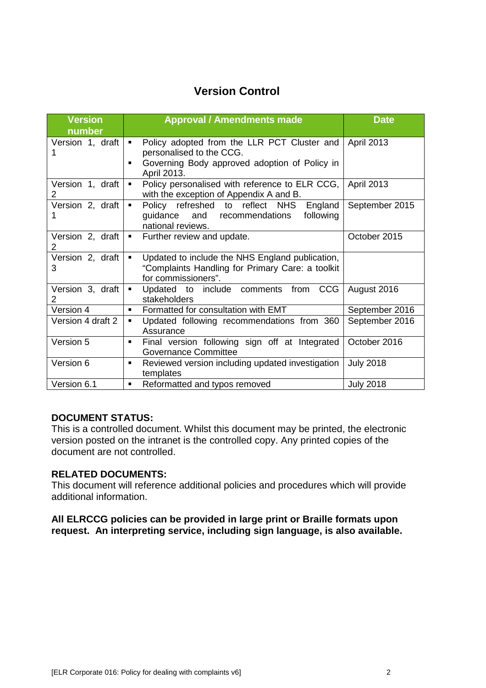### **Version Control**

| <b>Version</b><br>number           | <b>Approval / Amendments made</b>                                                                                                                                           | <b>Date</b>       |
|------------------------------------|-----------------------------------------------------------------------------------------------------------------------------------------------------------------------------|-------------------|
| Version 1, draft                   | Policy adopted from the LLR PCT Cluster and<br>$\blacksquare$<br>personalised to the CCG.<br>Governing Body approved adoption of Policy in<br>$\blacksquare$<br>April 2013. | April 2013        |
| Version 1, draft<br>2              | Policy personalised with reference to ELR CCG,<br>$\blacksquare$<br>with the exception of Appendix A and B.                                                                 | <b>April 2013</b> |
| Version 2, draft<br>1              | Policy refreshed to reflect NHS<br>England<br>$\blacksquare$<br>and recommendations<br>guidance<br>following<br>national reviews.                                           | September 2015    |
| Version 2, draft<br>$\mathbf{2}$   | Further review and update.<br>$\blacksquare$                                                                                                                                | October 2015      |
| Version 2, draft<br>3              | Updated to include the NHS England publication,<br>$\blacksquare$<br>"Complaints Handling for Primary Care: a toolkit<br>for commissioners".                                |                   |
| Version 3, draft<br>$\overline{2}$ | Updated to include comments from CCG<br>$\blacksquare$<br>stakeholders                                                                                                      | August 2016       |
| Version 4                          | Formatted for consultation with EMT<br>$\blacksquare$                                                                                                                       | September 2016    |
| Version 4 draft 2                  | Updated following recommendations from 360<br>$\blacksquare$<br>Assurance                                                                                                   | September 2016    |
| Version 5                          | Final version following sign off at Integrated<br>٠<br><b>Governance Committee</b>                                                                                          | October 2016      |
| Version 6                          | Reviewed version including updated investigation<br>$\blacksquare$<br>templates                                                                                             | <b>July 2018</b>  |
| Version 6.1                        | Reformatted and typos removed<br>$\blacksquare$                                                                                                                             | <b>July 2018</b>  |

### **DOCUMENT STATUS:**

This is a controlled document. Whilst this document may be printed, the electronic version posted on the intranet is the controlled copy. Any printed copies of the document are not controlled.

#### **RELATED DOCUMENTS:**

This document will reference additional policies and procedures which will provide additional information.

**All ELRCCG policies can be provided in large print or Braille formats upon request. An interpreting service, including sign language, is also available.**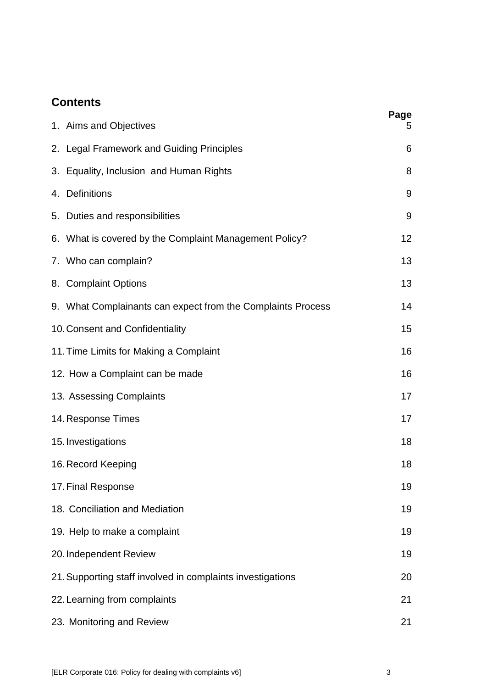### **Contents**

| 1. Aims and Objectives                                      | Page<br>5 |
|-------------------------------------------------------------|-----------|
| 2. Legal Framework and Guiding Principles                   | 6         |
| 3. Equality, Inclusion and Human Rights                     | 8         |
| 4. Definitions                                              | 9         |
| 5. Duties and responsibilities                              | 9         |
| 6. What is covered by the Complaint Management Policy?      | 12        |
| 7. Who can complain?                                        | 13        |
| 8. Complaint Options                                        | 13        |
| 9. What Complainants can expect from the Complaints Process | 14        |
| 10. Consent and Confidentiality                             | 15        |
| 11. Time Limits for Making a Complaint                      | 16        |
| 12. How a Complaint can be made                             | 16        |
| 13. Assessing Complaints                                    | 17        |
| 14. Response Times                                          | 17        |
| 15. Investigations                                          | 18        |
| 16. Record Keeping                                          | 18        |
| 17. Final Response                                          | 19        |
| 18. Conciliation and Mediation                              | 19        |
| 19. Help to make a complaint                                | 19        |
| 20. Independent Review                                      | 19        |
| 21. Supporting staff involved in complaints investigations  | 20        |
| 22. Learning from complaints                                | 21        |
| 23. Monitoring and Review                                   | 21        |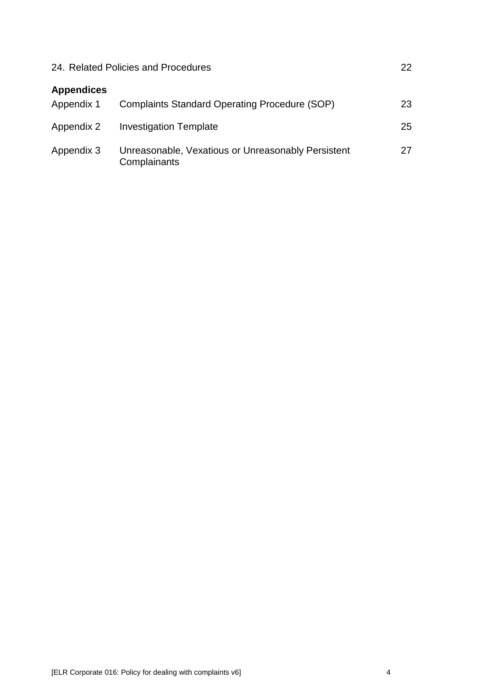| 24. Related Policies and Procedures |                                                                    | 22 |
|-------------------------------------|--------------------------------------------------------------------|----|
| <b>Appendices</b><br>Appendix 1     | <b>Complaints Standard Operating Procedure (SOP)</b>               | 23 |
| Appendix 2                          | <b>Investigation Template</b>                                      | 25 |
| Appendix 3                          | Unreasonable, Vexatious or Unreasonably Persistent<br>Complainants | 27 |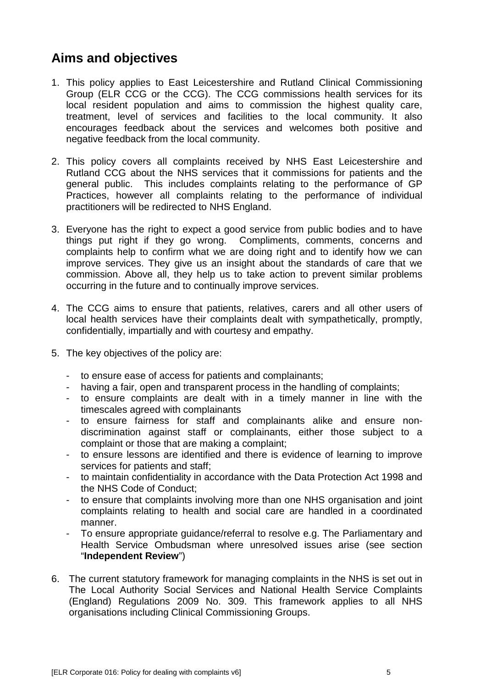# **Aims and objectives**

- 1. This policy applies to East Leicestershire and Rutland Clinical Commissioning Group (ELR CCG or the CCG). The CCG commissions health services for its local resident population and aims to commission the highest quality care, treatment, level of services and facilities to the local community. It also encourages feedback about the services and welcomes both positive and negative feedback from the local community.
- 2. This policy covers all complaints received by NHS East Leicestershire and Rutland CCG about the NHS services that it commissions for patients and the general public. This includes complaints relating to the performance of GP Practices, however all complaints relating to the performance of individual practitioners will be redirected to NHS England.
- 3. Everyone has the right to expect a good service from public bodies and to have things put right if they go wrong. Compliments, comments, concerns and complaints help to confirm what we are doing right and to identify how we can improve services. They give us an insight about the standards of care that we commission. Above all, they help us to take action to prevent similar problems occurring in the future and to continually improve services.
- 4. The CCG aims to ensure that patients, relatives, carers and all other users of local health services have their complaints dealt with sympathetically, promptly, confidentially, impartially and with courtesy and empathy.
- 5. The key objectives of the policy are:
	- to ensure ease of access for patients and complainants;
	- having a fair, open and transparent process in the handling of complaints;
	- to ensure complaints are dealt with in a timely manner in line with the timescales agreed with complainants
	- to ensure fairness for staff and complainants alike and ensure nondiscrimination against staff or complainants, either those subject to a complaint or those that are making a complaint;
	- to ensure lessons are identified and there is evidence of learning to improve services for patients and staff;
	- to maintain confidentiality in accordance with the Data Protection Act 1998 and the NHS Code of Conduct;
	- to ensure that complaints involving more than one NHS organisation and joint complaints relating to health and social care are handled in a coordinated manner.
	- To ensure appropriate guidance/referral to resolve e.g. The Parliamentary and Health Service Ombudsman where unresolved issues arise (see section "**Independent Review**")
- 6. The current statutory framework for managing complaints in the NHS is set out in The Local Authority Social Services and National Health Service Complaints (England) Regulations 2009 No. 309. This framework applies to all NHS organisations including Clinical Commissioning Groups.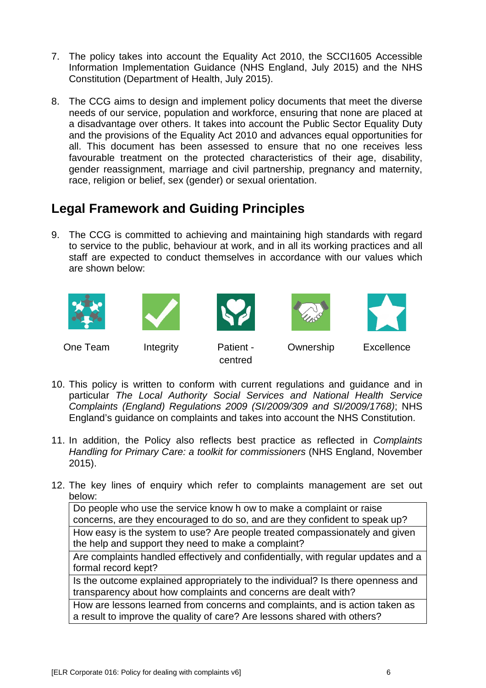- 7. The policy takes into account the Equality Act 2010, the SCCI1605 Accessible Information Implementation Guidance (NHS England, July 2015) and the NHS Constitution (Department of Health, July 2015).
- 8. The CCG aims to design and implement policy documents that meet the diverse needs of our service, population and workforce, ensuring that none are placed at a disadvantage over others. It takes into account the Public Sector Equality Duty and the provisions of the Equality Act 2010 and advances equal opportunities for all. This document has been assessed to ensure that no one receives less favourable treatment on the protected characteristics of their age, disability, gender reassignment, marriage and civil partnership, pregnancy and maternity, race, religion or belief, sex (gender) or sexual orientation.

# **Legal Framework and Guiding Principles**

9. The CCG is committed to achieving and maintaining high standards with regard to service to the public, behaviour at work, and in all its working practices and all staff are expected to conduct themselves in accordance with our values which are shown below:











One Team Integrity Patient -

centred

Ownership Excellence

- 10. This policy is written to conform with current regulations and guidance and in particular *The Local Authority Social Services and National Health Service Complaints (England) Regulations 2009 (SI/2009/309 and SI/2009/1768)*; NHS England's guidance on complaints and takes into account the NHS Constitution.
- 11. In addition, the Policy also reflects best practice as reflected in *Complaints Handling for Primary Care: a toolkit for commissioners (NHS England, November* 2015).
- 12. The key lines of enquiry which refer to complaints management are set out below:

Do people who use the service know h ow to make a complaint or raise concerns, are they encouraged to do so, and are they confident to speak up?

How easy is the system to use? Are people treated compassionately and given the help and support they need to make a complaint?

Are complaints handled effectively and confidentially, with regular updates and a formal record kept?

Is the outcome explained appropriately to the individual? Is there openness and transparency about how complaints and concerns are dealt with?

How are lessons learned from concerns and complaints, and is action taken as a result to improve the quality of care? Are lessons shared with others?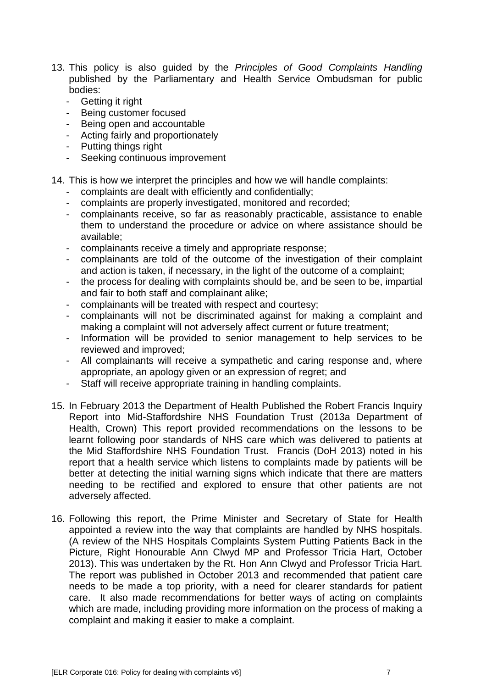- 13. This policy is also guided by the *Principles of Good Complaints Handling*  published by the Parliamentary and Health Service Ombudsman for public bodies:
	- Getting it right
	- Being customer focused
	- Being open and accountable
	- Acting fairly and proportionately
	- Putting things right
	- Seeking continuous improvement

### 14. This is how we interpret the principles and how we will handle complaints:

- complaints are dealt with efficiently and confidentially;
- complaints are properly investigated, monitored and recorded;
- complainants receive, so far as reasonably practicable, assistance to enable them to understand the procedure or advice on where assistance should be available;
- complainants receive a timely and appropriate response;
- complainants are told of the outcome of the investigation of their complaint and action is taken, if necessary, in the light of the outcome of a complaint;
- the process for dealing with complaints should be, and be seen to be, impartial and fair to both staff and complainant alike;
- complainants will be treated with respect and courtesy;
- complainants will not be discriminated against for making a complaint and making a complaint will not adversely affect current or future treatment;
- Information will be provided to senior management to help services to be reviewed and improved;
- All complainants will receive a sympathetic and caring response and, where appropriate, an apology given or an expression of regret; and
- Staff will receive appropriate training in handling complaints.
- 15. In February 2013 the Department of Health Published the Robert Francis Inquiry Report into Mid-Staffordshire NHS Foundation Trust (2013a Department of Health, Crown) This report provided recommendations on the lessons to be learnt following poor standards of NHS care which was delivered to patients at the Mid Staffordshire NHS Foundation Trust. Francis (DoH 2013) noted in his report that a health service which listens to complaints made by patients will be better at detecting the initial warning signs which indicate that there are matters needing to be rectified and explored to ensure that other patients are not adversely affected.
- 16. Following this report, the Prime Minister and Secretary of State for Health appointed a review into the way that complaints are handled by NHS hospitals. (A review of the NHS Hospitals Complaints System Putting Patients Back in the Picture, Right Honourable Ann Clwyd MP and Professor Tricia Hart, October 2013). This was undertaken by the Rt. Hon Ann Clwyd and Professor Tricia Hart. The report was published in October 2013 and recommended that patient care needs to be made a top priority, with a need for clearer standards for patient care. It also made recommendations for better ways of acting on complaints which are made, including providing more information on the process of making a complaint and making it easier to make a complaint.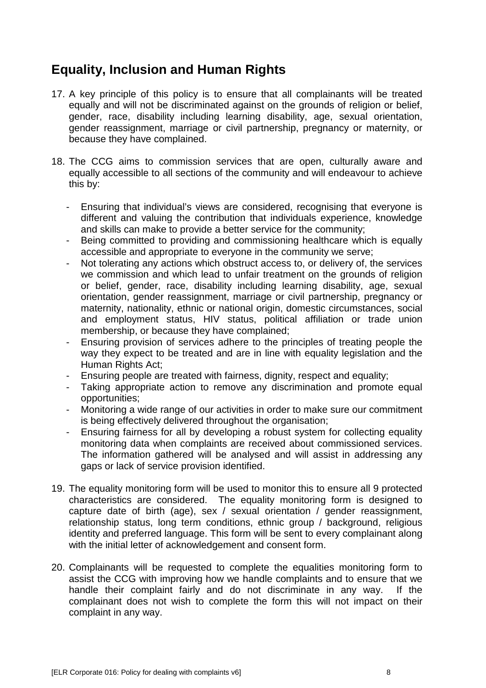# **Equality, Inclusion and Human Rights**

- 17. A key principle of this policy is to ensure that all complainants will be treated equally and will not be discriminated against on the grounds of religion or belief, gender, race, disability including learning disability, age, sexual orientation, gender reassignment, marriage or civil partnership, pregnancy or maternity, or because they have complained.
- 18. The CCG aims to commission services that are open, culturally aware and equally accessible to all sections of the community and will endeavour to achieve this by:
	- Ensuring that individual's views are considered, recognising that everyone is different and valuing the contribution that individuals experience, knowledge and skills can make to provide a better service for the community;
	- Being committed to providing and commissioning healthcare which is equally accessible and appropriate to everyone in the community we serve;
	- Not tolerating any actions which obstruct access to, or delivery of, the services we commission and which lead to unfair treatment on the grounds of religion or belief, gender, race, disability including learning disability, age, sexual orientation, gender reassignment, marriage or civil partnership, pregnancy or maternity, nationality, ethnic or national origin, domestic circumstances, social and employment status, HIV status, political affiliation or trade union membership, or because they have complained;
	- Ensuring provision of services adhere to the principles of treating people the way they expect to be treated and are in line with equality legislation and the Human Rights Act;
	- Ensuring people are treated with fairness, dignity, respect and equality;
	- Taking appropriate action to remove any discrimination and promote equal opportunities;
	- Monitoring a wide range of our activities in order to make sure our commitment is being effectively delivered throughout the organisation;
	- Ensuring fairness for all by developing a robust system for collecting equality monitoring data when complaints are received about commissioned services. The information gathered will be analysed and will assist in addressing any gaps or lack of service provision identified.
- 19. The equality monitoring form will be used to monitor this to ensure all 9 protected characteristics are considered. The equality monitoring form is designed to capture date of birth (age), sex / sexual orientation / gender reassignment, relationship status, long term conditions, ethnic group / background, religious identity and preferred language. This form will be sent to every complainant along with the initial letter of acknowledgement and consent form.
- 20. Complainants will be requested to complete the equalities monitoring form to assist the CCG with improving how we handle complaints and to ensure that we handle their complaint fairly and do not discriminate in any way. If the complainant does not wish to complete the form this will not impact on their complaint in any way.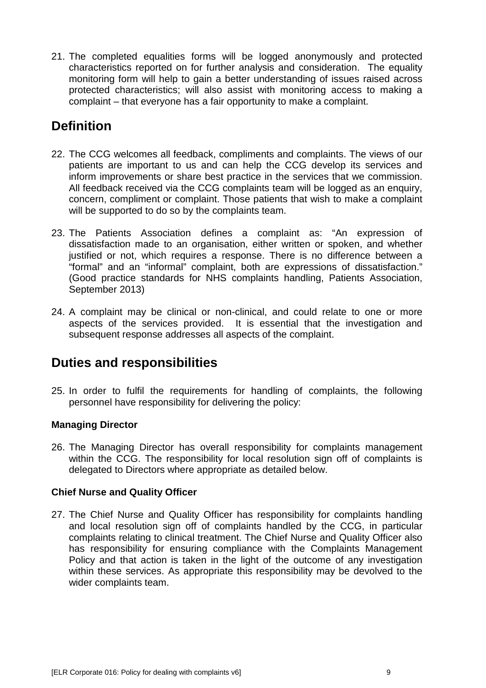21. The completed equalities forms will be logged anonymously and protected characteristics reported on for further analysis and consideration. The equality monitoring form will help to gain a better understanding of issues raised across protected characteristics; will also assist with monitoring access to making a complaint – that everyone has a fair opportunity to make a complaint.

# **Definition**

- 22. The CCG welcomes all feedback, compliments and complaints. The views of our patients are important to us and can help the CCG develop its services and inform improvements or share best practice in the services that we commission. All feedback received via the CCG complaints team will be logged as an enquiry, concern, compliment or complaint. Those patients that wish to make a complaint will be supported to do so by the complaints team.
- 23. The Patients Association defines a complaint as: "An expression of dissatisfaction made to an organisation, either written or spoken, and whether justified or not, which requires a response. There is no difference between a "formal" and an "informal" complaint, both are expressions of dissatisfaction." (Good practice standards for NHS complaints handling, Patients Association, September 2013)
- 24. A complaint may be clinical or non-clinical, and could relate to one or more aspects of the services provided. It is essential that the investigation and subsequent response addresses all aspects of the complaint.

# **Duties and responsibilities**

25. In order to fulfil the requirements for handling of complaints, the following personnel have responsibility for delivering the policy:

### **Managing Director**

26. The Managing Director has overall responsibility for complaints management within the CCG. The responsibility for local resolution sign off of complaints is delegated to Directors where appropriate as detailed below.

### **Chief Nurse and Quality Officer**

27. The Chief Nurse and Quality Officer has responsibility for complaints handling and local resolution sign off of complaints handled by the CCG, in particular complaints relating to clinical treatment. The Chief Nurse and Quality Officer also has responsibility for ensuring compliance with the Complaints Management Policy and that action is taken in the light of the outcome of any investigation within these services. As appropriate this responsibility may be devolved to the wider complaints team.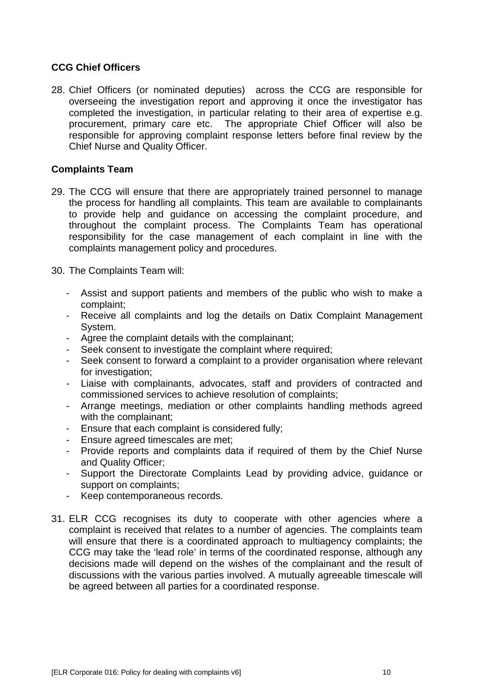### **CCG Chief Officers**

28. Chief Officers (or nominated deputies) across the CCG are responsible for overseeing the investigation report and approving it once the investigator has completed the investigation, in particular relating to their area of expertise e.g. procurement, primary care etc. The appropriate Chief Officer will also be responsible for approving complaint response letters before final review by the Chief Nurse and Quality Officer.

#### **Complaints Team**

- 29. The CCG will ensure that there are appropriately trained personnel to manage the process for handling all complaints. This team are available to complainants to provide help and guidance on accessing the complaint procedure, and throughout the complaint process. The Complaints Team has operational responsibility for the case management of each complaint in line with the complaints management policy and procedures.
- 30. The Complaints Team will:
	- Assist and support patients and members of the public who wish to make a complaint;
	- Receive all complaints and log the details on Datix Complaint Management System.
	- Agree the complaint details with the complainant;
	- Seek consent to investigate the complaint where required;
	- Seek consent to forward a complaint to a provider organisation where relevant for investigation:
	- Liaise with complainants, advocates, staff and providers of contracted and commissioned services to achieve resolution of complaints;
	- Arrange meetings, mediation or other complaints handling methods agreed with the complainant:
	- Ensure that each complaint is considered fully;
	- Ensure agreed timescales are met;
	- Provide reports and complaints data if required of them by the Chief Nurse and Quality Officer;
	- Support the Directorate Complaints Lead by providing advice, guidance or support on complaints;
	- Keep contemporaneous records.
- 31. ELR CCG recognises its duty to cooperate with other agencies where a complaint is received that relates to a number of agencies. The complaints team will ensure that there is a coordinated approach to multiagency complaints; the CCG may take the 'lead role' in terms of the coordinated response, although any decisions made will depend on the wishes of the complainant and the result of discussions with the various parties involved. A mutually agreeable timescale will be agreed between all parties for a coordinated response.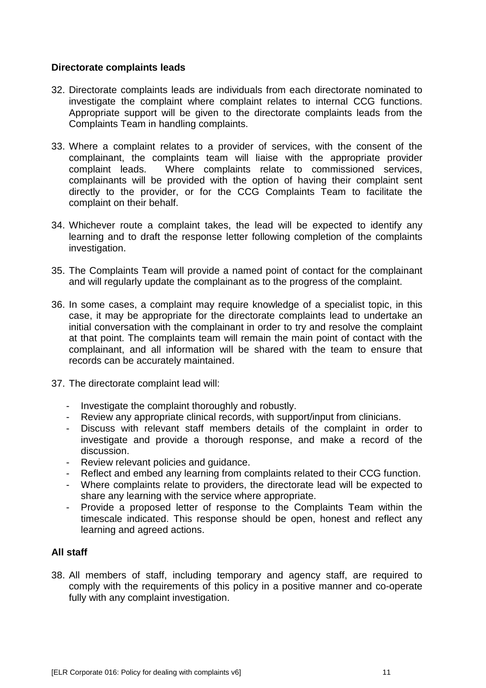### **Directorate complaints leads**

- 32. Directorate complaints leads are individuals from each directorate nominated to investigate the complaint where complaint relates to internal CCG functions. Appropriate support will be given to the directorate complaints leads from the Complaints Team in handling complaints.
- 33. Where a complaint relates to a provider of services, with the consent of the complainant, the complaints team will liaise with the appropriate provider complaint leads. Where complaints relate to commissioned services, complainants will be provided with the option of having their complaint sent directly to the provider, or for the CCG Complaints Team to facilitate the complaint on their behalf.
- 34. Whichever route a complaint takes, the lead will be expected to identify any learning and to draft the response letter following completion of the complaints investigation.
- 35. The Complaints Team will provide a named point of contact for the complainant and will regularly update the complainant as to the progress of the complaint.
- 36. In some cases, a complaint may require knowledge of a specialist topic, in this case, it may be appropriate for the directorate complaints lead to undertake an initial conversation with the complainant in order to try and resolve the complaint at that point. The complaints team will remain the main point of contact with the complainant, and all information will be shared with the team to ensure that records can be accurately maintained.
- 37. The directorate complaint lead will:
	- Investigate the complaint thoroughly and robustly.
	- Review any appropriate clinical records, with support/input from clinicians.
	- Discuss with relevant staff members details of the complaint in order to investigate and provide a thorough response, and make a record of the discussion.
	- Review relevant policies and guidance.
	- Reflect and embed any learning from complaints related to their CCG function.
	- Where complaints relate to providers, the directorate lead will be expected to share any learning with the service where appropriate.
	- Provide a proposed letter of response to the Complaints Team within the timescale indicated. This response should be open, honest and reflect any learning and agreed actions.

### **All staff**

38. All members of staff, including temporary and agency staff, are required to comply with the requirements of this policy in a positive manner and co-operate fully with any complaint investigation.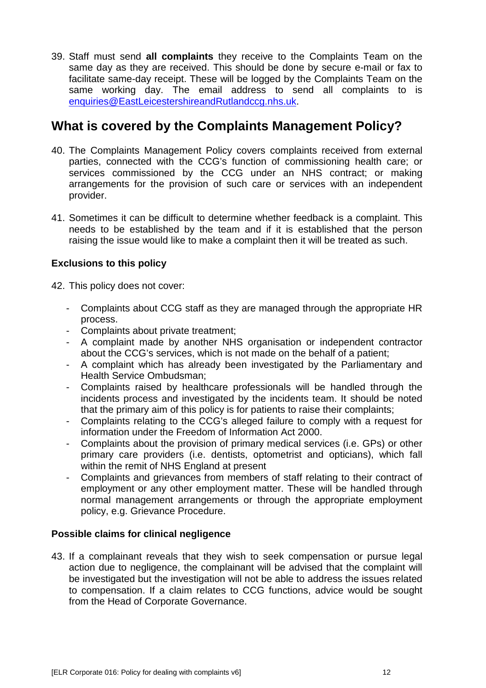39. Staff must send **all complaints** they receive to the Complaints Team on the same day as they are received. This should be done by secure e-mail or fax to facilitate same-day receipt. These will be logged by the Complaints Team on the same working day. The email address to send all complaints to is [enquiries@EastLeicestershireandRutlandccg.nhs.uk.](mailto:enquiries@EastLeicestershireandRutlandccg.nhs.uk)

# **What is covered by the Complaints Management Policy?**

- 40. The Complaints Management Policy covers complaints received from external parties, connected with the CCG's function of commissioning health care; or services commissioned by the CCG under an NHS contract; or making arrangements for the provision of such care or services with an independent provider.
- 41. Sometimes it can be difficult to determine whether feedback is a complaint. This needs to be established by the team and if it is established that the person raising the issue would like to make a complaint then it will be treated as such.

### **Exclusions to this policy**

42. This policy does not cover:

- Complaints about CCG staff as they are managed through the appropriate HR process.
- Complaints about private treatment;
- A complaint made by another NHS organisation or independent contractor about the CCG's services, which is not made on the behalf of a patient;
- A complaint which has already been investigated by the Parliamentary and Health Service Ombudsman;
- Complaints raised by healthcare professionals will be handled through the incidents process and investigated by the incidents team. It should be noted that the primary aim of this policy is for patients to raise their complaints;
- Complaints relating to the CCG's alleged failure to comply with a request for information under the Freedom of Information Act 2000.
- Complaints about the provision of primary medical services (i.e. GPs) or other primary care providers (i.e. dentists, optometrist and opticians), which fall within the remit of NHS England at present
- Complaints and grievances from members of staff relating to their contract of employment or any other employment matter. These will be handled through normal management arrangements or through the appropriate employment policy, e.g. Grievance Procedure.

### **Possible claims for clinical negligence**

43. If a complainant reveals that they wish to seek compensation or pursue legal action due to negligence, the complainant will be advised that the complaint will be investigated but the investigation will not be able to address the issues related to compensation. If a claim relates to CCG functions, advice would be sought from the Head of Corporate Governance.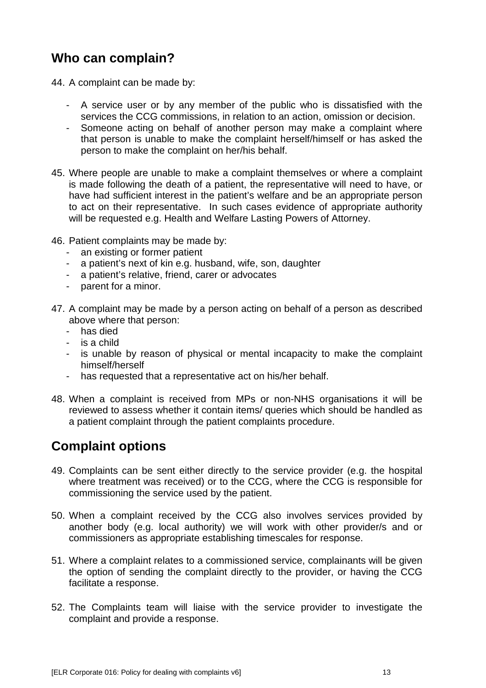# **Who can complain?**

44. A complaint can be made by:

- A service user or by any member of the public who is dissatisfied with the services the CCG commissions, in relation to an action, omission or decision.
- Someone acting on behalf of another person may make a complaint where that person is unable to make the complaint herself/himself or has asked the person to make the complaint on her/his behalf.
- 45. Where people are unable to make a complaint themselves or where a complaint is made following the death of a patient, the representative will need to have, or have had sufficient interest in the patient's welfare and be an appropriate person to act on their representative. In such cases evidence of appropriate authority will be requested e.g. Health and Welfare Lasting Powers of Attorney.
- 46. Patient complaints may be made by:
	- an existing or former patient
	- a patient's next of kin e.g. husband, wife, son, daughter
	- a patient's relative, friend, carer or advocates
	- parent for a minor.
- 47. A complaint may be made by a person acting on behalf of a person as described above where that person:
	- has died
	- is a child
	- is unable by reason of physical or mental incapacity to make the complaint himself/herself
	- has requested that a representative act on his/her behalf.
- 48. When a complaint is received from MPs or non-NHS organisations it will be reviewed to assess whether it contain items/ queries which should be handled as a patient complaint through the patient complaints procedure.

# **Complaint options**

- 49. Complaints can be sent either directly to the service provider (e.g. the hospital where treatment was received) or to the CCG, where the CCG is responsible for commissioning the service used by the patient.
- 50. When a complaint received by the CCG also involves services provided by another body (e.g. local authority) we will work with other provider/s and or commissioners as appropriate establishing timescales for response.
- 51. Where a complaint relates to a commissioned service, complainants will be given the option of sending the complaint directly to the provider, or having the CCG facilitate a response.
- 52. The Complaints team will liaise with the service provider to investigate the complaint and provide a response.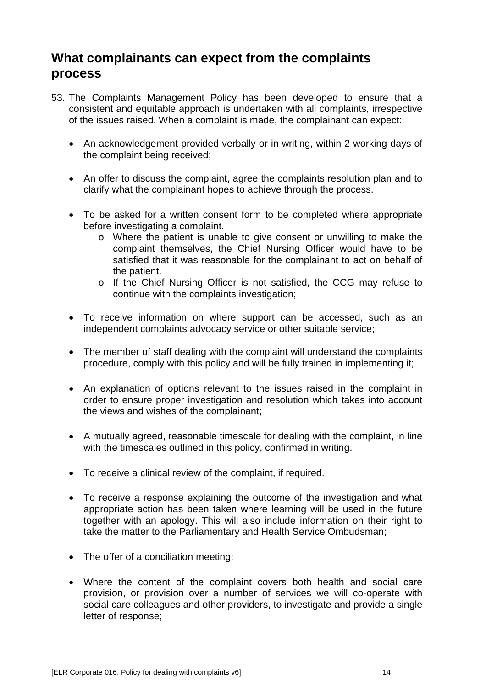# **What complainants can expect from the complaints process**

- 53. The Complaints Management Policy has been developed to ensure that a consistent and equitable approach is undertaken with all complaints, irrespective of the issues raised. When a complaint is made, the complainant can expect:
	- An acknowledgement provided verbally or in writing, within 2 working days of the complaint being received;
	- An offer to discuss the complaint, agree the complaints resolution plan and to clarify what the complainant hopes to achieve through the process.
	- To be asked for a written consent form to be completed where appropriate before investigating a complaint.
		- o Where the patient is unable to give consent or unwilling to make the complaint themselves, the Chief Nursing Officer would have to be satisfied that it was reasonable for the complainant to act on behalf of the patient.
		- o If the Chief Nursing Officer is not satisfied, the CCG may refuse to continue with the complaints investigation;
	- To receive information on where support can be accessed, such as an independent complaints advocacy service or other suitable service;
	- The member of staff dealing with the complaint will understand the complaints procedure, comply with this policy and will be fully trained in implementing it;
	- An explanation of options relevant to the issues raised in the complaint in order to ensure proper investigation and resolution which takes into account the views and wishes of the complainant;
	- A mutually agreed, reasonable timescale for dealing with the complaint, in line with the timescales outlined in this policy, confirmed in writing.
	- To receive a clinical review of the complaint, if required.
	- To receive a response explaining the outcome of the investigation and what appropriate action has been taken where learning will be used in the future together with an apology. This will also include information on their right to take the matter to the Parliamentary and Health Service Ombudsman;
	- The offer of a conciliation meeting;
	- Where the content of the complaint covers both health and social care provision, or provision over a number of services we will co-operate with social care colleagues and other providers, to investigate and provide a single letter of response;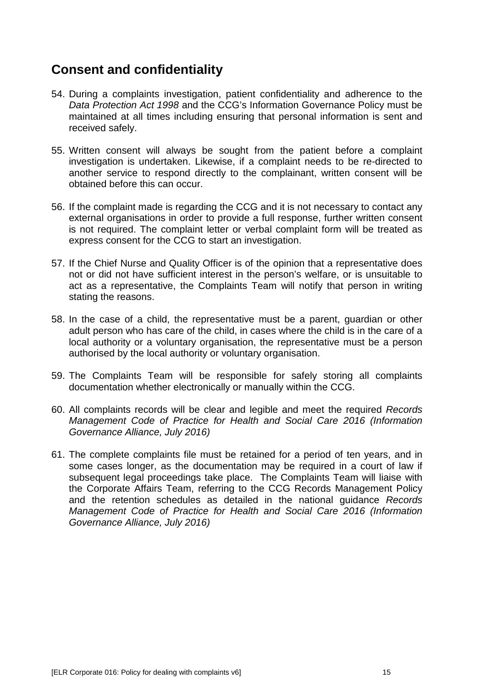# **Consent and confidentiality**

- 54. During a complaints investigation, patient confidentiality and adherence to the *Data Protection Act 1998* and the CCG's Information Governance Policy must be maintained at all times including ensuring that personal information is sent and received safely.
- 55. Written consent will always be sought from the patient before a complaint investigation is undertaken. Likewise, if a complaint needs to be re-directed to another service to respond directly to the complainant, written consent will be obtained before this can occur.
- 56. If the complaint made is regarding the CCG and it is not necessary to contact any external organisations in order to provide a full response, further written consent is not required. The complaint letter or verbal complaint form will be treated as express consent for the CCG to start an investigation.
- 57. If the Chief Nurse and Quality Officer is of the opinion that a representative does not or did not have sufficient interest in the person's welfare, or is unsuitable to act as a representative, the Complaints Team will notify that person in writing stating the reasons.
- 58. In the case of a child, the representative must be a parent, guardian or other adult person who has care of the child, in cases where the child is in the care of a local authority or a voluntary organisation, the representative must be a person authorised by the local authority or voluntary organisation.
- 59. The Complaints Team will be responsible for safely storing all complaints documentation whether electronically or manually within the CCG.
- 60. All complaints records will be clear and legible and meet the required *Records Management Code of Practice for Health and Social Care 2016 (Information Governance Alliance, July 2016)*
- 61. The complete complaints file must be retained for a period of ten years, and in some cases longer, as the documentation may be required in a court of law if subsequent legal proceedings take place. The Complaints Team will liaise with the Corporate Affairs Team, referring to the CCG Records Management Policy and the retention schedules as detailed in the national guidance *Records Management Code of Practice for Health and Social Care 2016 (Information Governance Alliance, July 2016)*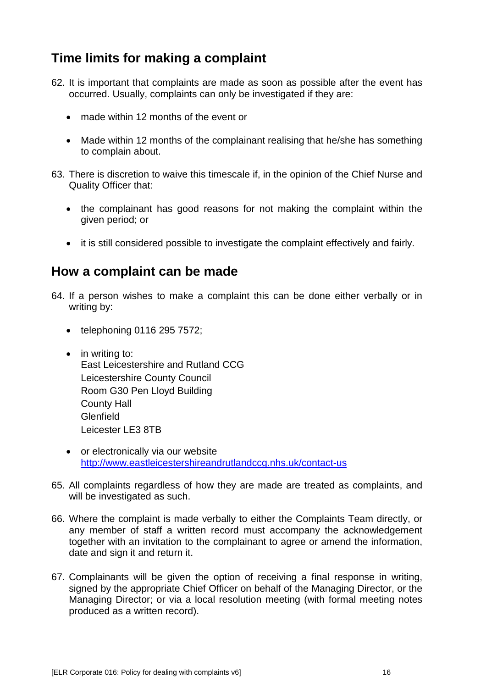# **Time limits for making a complaint**

- 62. It is important that complaints are made as soon as possible after the event has occurred. Usually, complaints can only be investigated if they are:
	- made within 12 months of the event or
	- Made within 12 months of the complainant realising that he/she has something to complain about.
- 63. There is discretion to waive this timescale if, in the opinion of the Chief Nurse and Quality Officer that:
	- the complainant has good reasons for not making the complaint within the given period; or
	- it is still considered possible to investigate the complaint effectively and fairly.

### **How a complaint can be made**

- 64. If a person wishes to make a complaint this can be done either verbally or in writing by:
	- telephoning 0116 295 7572;
	- in writing to: East Leicestershire and Rutland CCG Leicestershire County Council Room G30 Pen Lloyd Building County Hall **Glenfield** Leicester LE3 8TB
	- or electronically via our website <http://www.eastleicestershireandrutlandccg.nhs.uk/contact-us>
- 65. All complaints regardless of how they are made are treated as complaints, and will be investigated as such.
- 66. Where the complaint is made verbally to either the Complaints Team directly, or any member of staff a written record must accompany the acknowledgement together with an invitation to the complainant to agree or amend the information, date and sign it and return it.
- 67. Complainants will be given the option of receiving a final response in writing, signed by the appropriate Chief Officer on behalf of the Managing Director, or the Managing Director; or via a local resolution meeting (with formal meeting notes produced as a written record).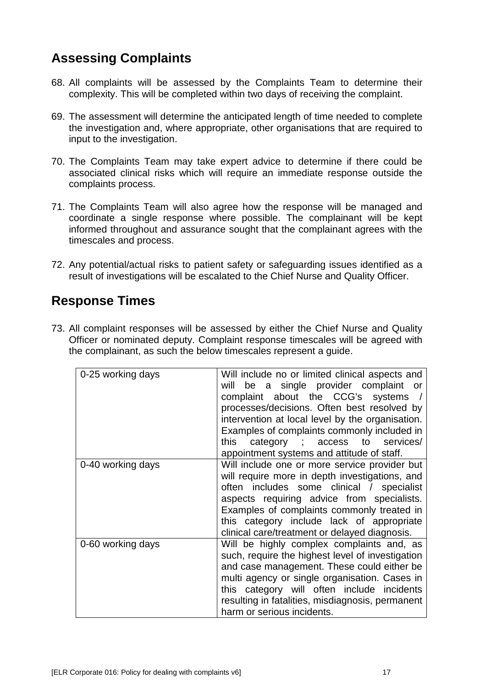# **Assessing Complaints**

- 68. All complaints will be assessed by the Complaints Team to determine their complexity. This will be completed within two days of receiving the complaint.
- 69. The assessment will determine the anticipated length of time needed to complete the investigation and, where appropriate, other organisations that are required to input to the investigation.
- 70. The Complaints Team may take expert advice to determine if there could be associated clinical risks which will require an immediate response outside the complaints process.
- 71. The Complaints Team will also agree how the response will be managed and coordinate a single response where possible. The complainant will be kept informed throughout and assurance sought that the complainant agrees with the timescales and process.
- 72. Any potential/actual risks to patient safety or safeguarding issues identified as a result of investigations will be escalated to the Chief Nurse and Quality Officer.

# **Response Times**

73. All complaint responses will be assessed by either the Chief Nurse and Quality Officer or nominated deputy. Complaint response timescales will be agreed with the complainant, as such the below timescales represent a guide.

| 0-25 working days | Will include no or limited clinical aspects and<br>be a single provider complaint or<br>will<br>complaint about the CCG's systems /<br>processes/decisions. Often best resolved by<br>intervention at local level by the organisation.<br>Examples of complaints commonly included in<br>category ; access to services/<br>this<br>appointment systems and attitude of staff. |
|-------------------|-------------------------------------------------------------------------------------------------------------------------------------------------------------------------------------------------------------------------------------------------------------------------------------------------------------------------------------------------------------------------------|
| 0-40 working days | Will include one or more service provider but<br>will require more in depth investigations, and<br>often includes some clinical / specialist<br>aspects requiring advice from specialists.<br>Examples of complaints commonly treated in<br>this category include lack of appropriate<br>clinical care/treatment or delayed diagnosis.                                        |
| 0-60 working days | Will be highly complex complaints and, as<br>such, require the highest level of investigation<br>and case management. These could either be<br>multi agency or single organisation. Cases in<br>this category will often include incidents<br>resulting in fatalities, misdiagnosis, permanent<br>harm or serious incidents.                                                  |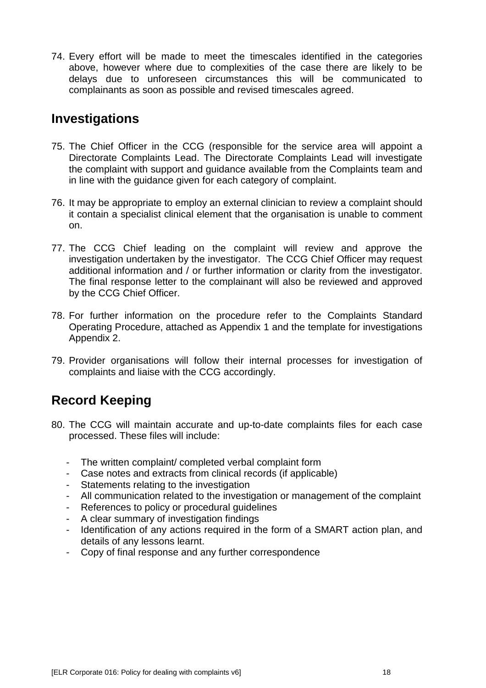74. Every effort will be made to meet the timescales identified in the categories above, however where due to complexities of the case there are likely to be delays due to unforeseen circumstances this will be communicated to complainants as soon as possible and revised timescales agreed.

### **Investigations**

- 75. The Chief Officer in the CCG (responsible for the service area will appoint a Directorate Complaints Lead. The Directorate Complaints Lead will investigate the complaint with support and guidance available from the Complaints team and in line with the guidance given for each category of complaint.
- 76. It may be appropriate to employ an external clinician to review a complaint should it contain a specialist clinical element that the organisation is unable to comment on.
- 77. The CCG Chief leading on the complaint will review and approve the investigation undertaken by the investigator. The CCG Chief Officer may request additional information and / or further information or clarity from the investigator. The final response letter to the complainant will also be reviewed and approved by the CCG Chief Officer.
- 78. For further information on the procedure refer to the Complaints Standard Operating Procedure, attached as Appendix 1 and the template for investigations Appendix 2.
- 79. Provider organisations will follow their internal processes for investigation of complaints and liaise with the CCG accordingly.

# **Record Keeping**

- 80. The CCG will maintain accurate and up-to-date complaints files for each case processed. These files will include:
	- The written complaint/ completed verbal complaint form
	- Case notes and extracts from clinical records (if applicable)
	- Statements relating to the investigation
	- All communication related to the investigation or management of the complaint
	- References to policy or procedural guidelines
	- A clear summary of investigation findings
	- Identification of any actions required in the form of a SMART action plan, and details of any lessons learnt.
	- Copy of final response and any further correspondence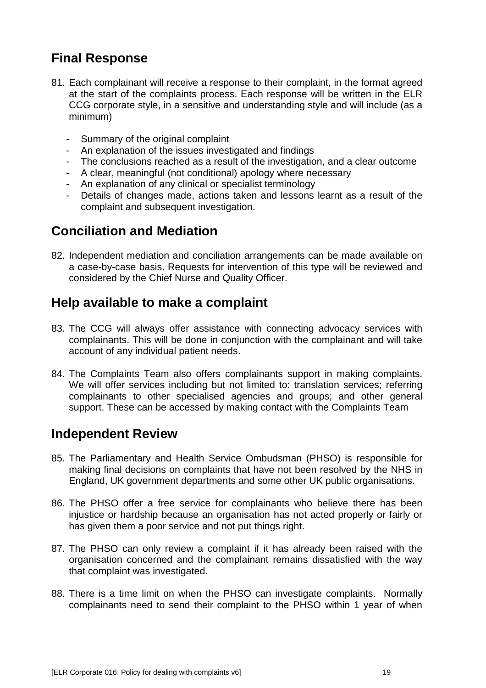# **Final Response**

- 81. Each complainant will receive a response to their complaint, in the format agreed at the start of the complaints process. Each response will be written in the ELR CCG corporate style, in a sensitive and understanding style and will include (as a minimum)
	- Summary of the original complaint
	- An explanation of the issues investigated and findings
	- The conclusions reached as a result of the investigation, and a clear outcome
	- A clear, meaningful (not conditional) apology where necessary
	- An explanation of any clinical or specialist terminology
	- Details of changes made, actions taken and lessons learnt as a result of the complaint and subsequent investigation.

# **Conciliation and Mediation**

82. Independent mediation and conciliation arrangements can be made available on a case-by-case basis. Requests for intervention of this type will be reviewed and considered by the Chief Nurse and Quality Officer.

# **Help available to make a complaint**

- 83. The CCG will always offer assistance with connecting advocacy services with complainants. This will be done in conjunction with the complainant and will take account of any individual patient needs.
- 84. The Complaints Team also offers complainants support in making complaints. We will offer services including but not limited to: translation services; referring complainants to other specialised agencies and groups; and other general support. These can be accessed by making contact with the Complaints Team

### **Independent Review**

- 85. The Parliamentary and Health Service Ombudsman (PHSO) is responsible for making final decisions on complaints that have not been resolved by the NHS in England, UK government departments and some other UK public organisations.
- 86. The PHSO offer a free service for complainants who believe there has been injustice or hardship because an organisation has not acted properly or fairly or has given them a poor service and not put things right.
- 87. The PHSO can only review a complaint if it has already been raised with the organisation concerned and the complainant remains dissatisfied with the way that complaint was investigated.
- 88. There is a time limit on when the PHSO can investigate complaints. Normally complainants need to send their complaint to the PHSO within 1 year of when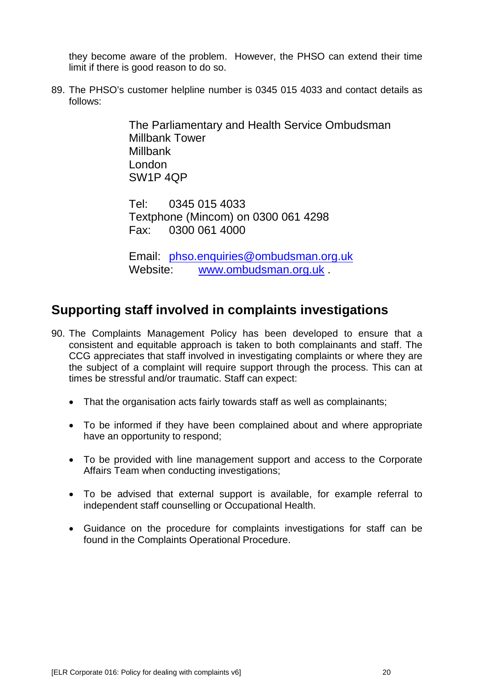they become aware of the problem. However, the PHSO can extend their time limit if there is good reason to do so.

89. The PHSO's customer helpline number is 0345 015 4033 and contact details as follows:

> The Parliamentary and Health Service Ombudsman Millbank Tower **Millbank** London SW1P 4QP

Tel: 0345 015 4033 Textphone (Mincom) on 0300 061 4298 Fax: 0300 061 4000

Email: [phso.enquiries@ombudsman.org.uk](mailto:phso.enquiries@ombudsman.org.uk) Website: [www.ombudsman.org.uk](http://www.ombudsman.org.uk/)

# **Supporting staff involved in complaints investigations**

- 90. The Complaints Management Policy has been developed to ensure that a consistent and equitable approach is taken to both complainants and staff. The CCG appreciates that staff involved in investigating complaints or where they are the subject of a complaint will require support through the process. This can at times be stressful and/or traumatic. Staff can expect:
	- That the organisation acts fairly towards staff as well as complainants;
	- To be informed if they have been complained about and where appropriate have an opportunity to respond;
	- To be provided with line management support and access to the Corporate Affairs Team when conducting investigations;
	- To be advised that external support is available, for example referral to independent staff counselling or Occupational Health.
	- Guidance on the procedure for complaints investigations for staff can be found in the Complaints Operational Procedure.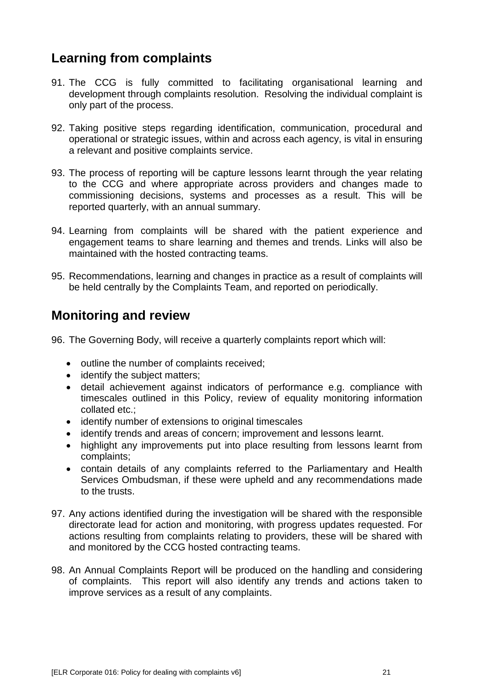# **Learning from complaints**

- 91. The CCG is fully committed to facilitating organisational learning and development through complaints resolution. Resolving the individual complaint is only part of the process.
- 92. Taking positive steps regarding identification, communication, procedural and operational or strategic issues, within and across each agency, is vital in ensuring a relevant and positive complaints service.
- 93. The process of reporting will be capture lessons learnt through the year relating to the CCG and where appropriate across providers and changes made to commissioning decisions, systems and processes as a result. This will be reported quarterly, with an annual summary.
- 94. Learning from complaints will be shared with the patient experience and engagement teams to share learning and themes and trends. Links will also be maintained with the hosted contracting teams.
- 95. Recommendations, learning and changes in practice as a result of complaints will be held centrally by the Complaints Team, and reported on periodically.

# **Monitoring and review**

96. The Governing Body, will receive a quarterly complaints report which will:

- outline the number of complaints received;
- identify the subject matters;
- detail achievement against indicators of performance e.g. compliance with timescales outlined in this Policy, review of equality monitoring information collated etc.;
- identify number of extensions to original timescales
- identify trends and areas of concern; improvement and lessons learnt.
- highlight any improvements put into place resulting from lessons learnt from complaints;
- contain details of any complaints referred to the Parliamentary and Health Services Ombudsman, if these were upheld and any recommendations made to the trusts.
- 97. Any actions identified during the investigation will be shared with the responsible directorate lead for action and monitoring, with progress updates requested. For actions resulting from complaints relating to providers, these will be shared with and monitored by the CCG hosted contracting teams.
- 98. An Annual Complaints Report will be produced on the handling and considering of complaints. This report will also identify any trends and actions taken to improve services as a result of any complaints.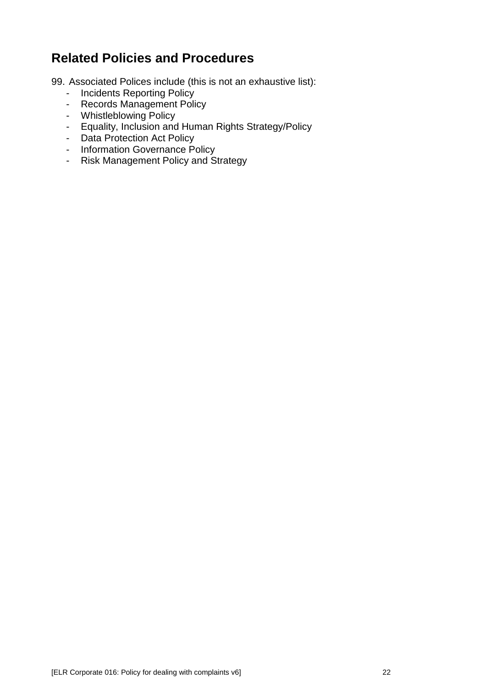# **Related Policies and Procedures**

99. Associated Polices include (this is not an exhaustive list):

- Incidents Reporting Policy
- Records Management Policy
- Whistleblowing Policy
- Equality, Inclusion and Human Rights Strategy/Policy
- Data Protection Act Policy
- Information Governance Policy
- Risk Management Policy and Strategy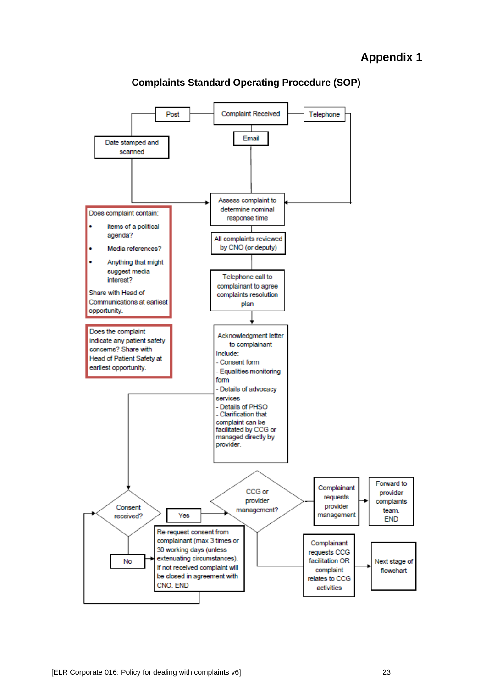### **Appendix 1**



**Complaints Standard Operating Procedure (SOP)**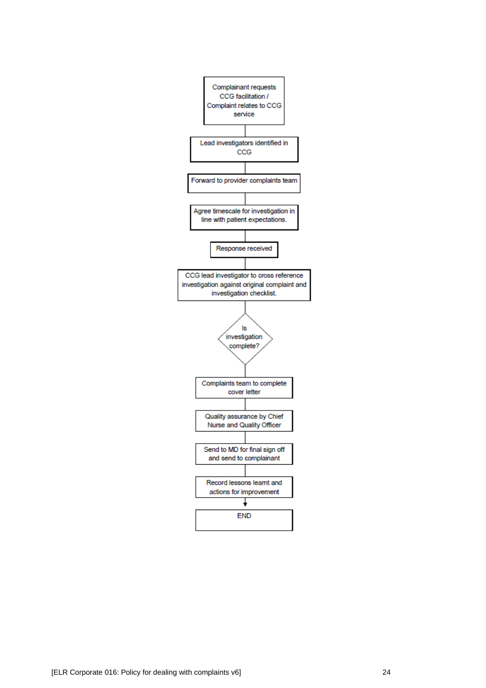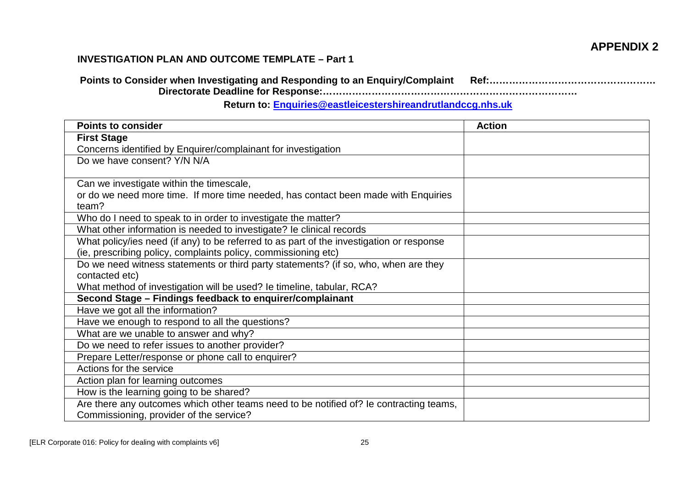### **APPENDIX 2**

### **INVESTIGATION PLAN AND OUTCOME TEMPLATE – Part 1**

**Points to Consider when Investigating and Responding to an Enquiry/Complaint Ref:…………………………………………… Directorate Deadline for Response:……………………………………………………………………**

### **Return to: [Enquiries@eastleicestershireandrutlandccg.nhs.uk](mailto:Enquiries@eastleicestershireandrutlandccg.nhs.uk)**

| <b>Points to consider</b>                                                                   | <b>Action</b> |
|---------------------------------------------------------------------------------------------|---------------|
| <b>First Stage</b>                                                                          |               |
| Concerns identified by Enquirer/complainant for investigation                               |               |
| Do we have consent? Y/N N/A                                                                 |               |
|                                                                                             |               |
| Can we investigate within the timescale,                                                    |               |
| or do we need more time. If more time needed, has contact been made with Enquiries<br>team? |               |
| Who do I need to speak to in order to investigate the matter?                               |               |
| What other information is needed to investigate? le clinical records                        |               |
|                                                                                             |               |
| What policy/ies need (if any) to be referred to as part of the investigation or response    |               |
| (ie, prescribing policy, complaints policy, commissioning etc)                              |               |
| Do we need witness statements or third party statements? (if so, who, when are they         |               |
| contacted etc)                                                                              |               |
| What method of investigation will be used? Ie timeline, tabular, RCA?                       |               |
| Second Stage - Findings feedback to enquirer/complainant                                    |               |
| Have we got all the information?                                                            |               |
| Have we enough to respond to all the questions?                                             |               |
| What are we unable to answer and why?                                                       |               |
| Do we need to refer issues to another provider?                                             |               |
| Prepare Letter/response or phone call to enquirer?                                          |               |
| Actions for the service                                                                     |               |
| Action plan for learning outcomes                                                           |               |
| How is the learning going to be shared?                                                     |               |
| Are there any outcomes which other teams need to be notified of? Ie contracting teams,      |               |
| Commissioning, provider of the service?                                                     |               |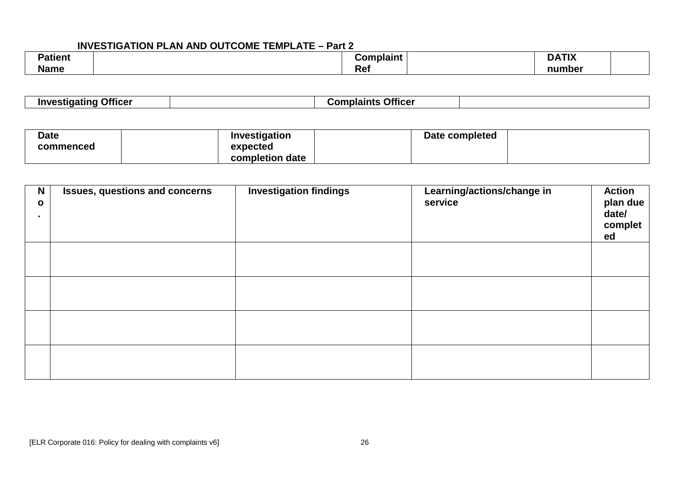### **INVESTIGATION PLAN AND OUTCOME TEMPLATE – Part 2**

| <b>Patient</b> |            | Complaint | <b>DATIV</b><br><b>DATIX</b> |  |
|----------------|------------|-----------|------------------------------|--|
| <b>Name</b>    | יי<br>17GI |           | number                       |  |

| $ -$<br>unvestigating<br>Otticer | ∴^mn. | <b>Officer</b><br>plaint:<br>. |  |
|----------------------------------|-------|--------------------------------|--|
|----------------------------------|-------|--------------------------------|--|

| <b>Date</b> | Investigation   | Date completed |  |
|-------------|-----------------|----------------|--|
| commenced   | expected        |                |  |
|             | completion date |                |  |

| $\mathbf N$<br>$\mathbf{o}$<br>$\blacksquare$ | <b>Issues, questions and concerns</b> | <b>Investigation findings</b> | Learning/actions/change in<br>service | <b>Action</b><br>plan due<br>date/<br>complet<br>ed |
|-----------------------------------------------|---------------------------------------|-------------------------------|---------------------------------------|-----------------------------------------------------|
|                                               |                                       |                               |                                       |                                                     |
|                                               |                                       |                               |                                       |                                                     |
|                                               |                                       |                               |                                       |                                                     |
|                                               |                                       |                               |                                       |                                                     |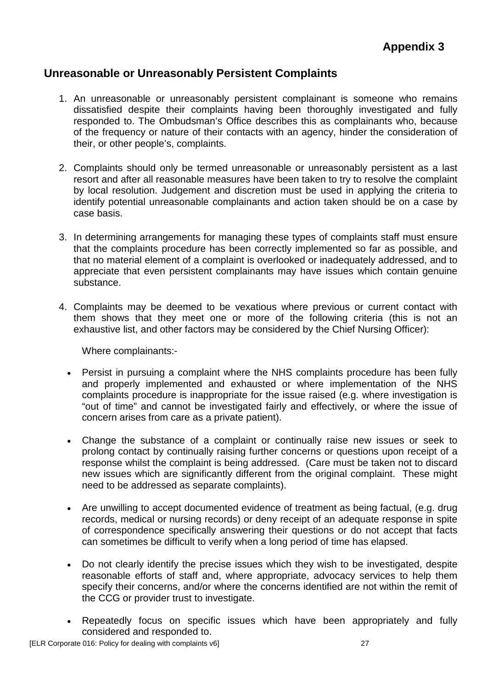### **Unreasonable or Unreasonably Persistent Complaints**

- 1. An unreasonable or unreasonably persistent complainant is someone who remains dissatisfied despite their complaints having been thoroughly investigated and fully responded to. The Ombudsman's Office describes this as complainants who, because of the frequency or nature of their contacts with an agency, hinder the consideration of their, or other people's, complaints.
- 2. Complaints should only be termed unreasonable or unreasonably persistent as a last resort and after all reasonable measures have been taken to try to resolve the complaint by local resolution. Judgement and discretion must be used in applying the criteria to identify potential unreasonable complainants and action taken should be on a case by case basis.
- 3. In determining arrangements for managing these types of complaints staff must ensure that the complaints procedure has been correctly implemented so far as possible, and that no material element of a complaint is overlooked or inadequately addressed, and to appreciate that even persistent complainants may have issues which contain genuine substance.
- 4. Complaints may be deemed to be vexatious where previous or current contact with them shows that they meet one or more of the following criteria (this is not an exhaustive list, and other factors may be considered by the Chief Nursing Officer):

Where complainants:-

- Persist in pursuing a complaint where the NHS complaints procedure has been fully and properly implemented and exhausted or where implementation of the NHS complaints procedure is inappropriate for the issue raised (e.g. where investigation is "out of time" and cannot be investigated fairly and effectively, or where the issue of concern arises from care as a private patient).
- Change the substance of a complaint or continually raise new issues or seek to prolong contact by continually raising further concerns or questions upon receipt of a response whilst the complaint is being addressed. (Care must be taken not to discard new issues which are significantly different from the original complaint. These might need to be addressed as separate complaints).
- Are unwilling to accept documented evidence of treatment as being factual, (e.g. drug records, medical or nursing records) or deny receipt of an adequate response in spite of correspondence specifically answering their questions or do not accept that facts can sometimes be difficult to verify when a long period of time has elapsed.
- Do not clearly identify the precise issues which they wish to be investigated, despite reasonable efforts of staff and, where appropriate, advocacy services to help them specify their concerns, and/or where the concerns identified are not within the remit of the CCG or provider trust to investigate.
- Repeatedly focus on specific issues which have been appropriately and fully considered and responded to.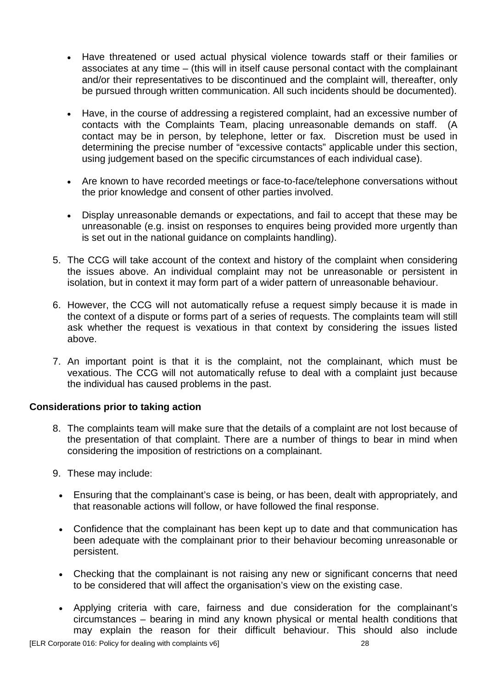- Have threatened or used actual physical violence towards staff or their families or associates at any time – (this will in itself cause personal contact with the complainant and/or their representatives to be discontinued and the complaint will, thereafter, only be pursued through written communication. All such incidents should be documented).
- Have, in the course of addressing a registered complaint, had an excessive number of contacts with the Complaints Team, placing unreasonable demands on staff. (A contact may be in person, by telephone, letter or fax. Discretion must be used in determining the precise number of "excessive contacts" applicable under this section, using judgement based on the specific circumstances of each individual case).
- Are known to have recorded meetings or face-to-face/telephone conversations without the prior knowledge and consent of other parties involved.
- Display unreasonable demands or expectations, and fail to accept that these may be unreasonable (e.g. insist on responses to enquires being provided more urgently than is set out in the national guidance on complaints handling).
- 5. The CCG will take account of the context and history of the complaint when considering the issues above. An individual complaint may not be unreasonable or persistent in isolation, but in context it may form part of a wider pattern of unreasonable behaviour.
- 6. However, the CCG will not automatically refuse a request simply because it is made in the context of a dispute or forms part of a series of requests. The complaints team will still ask whether the request is vexatious in that context by considering the issues listed above.
- 7. An important point is that it is the complaint, not the complainant, which must be vexatious. The CCG will not automatically refuse to deal with a complaint just because the individual has caused problems in the past.

### **Considerations prior to taking action**

- 8. The complaints team will make sure that the details of a complaint are not lost because of the presentation of that complaint. There are a number of things to bear in mind when considering the imposition of restrictions on a complainant.
- 9. These may include:
	- Ensuring that the complainant's case is being, or has been, dealt with appropriately, and that reasonable actions will follow, or have followed the final response.
	- Confidence that the complainant has been kept up to date and that communication has been adequate with the complainant prior to their behaviour becoming unreasonable or persistent.
	- Checking that the complainant is not raising any new or significant concerns that need to be considered that will affect the organisation's view on the existing case.
	- Applying criteria with care, fairness and due consideration for the complainant's circumstances – bearing in mind any known physical or mental health conditions that may explain the reason for their difficult behaviour. This should also include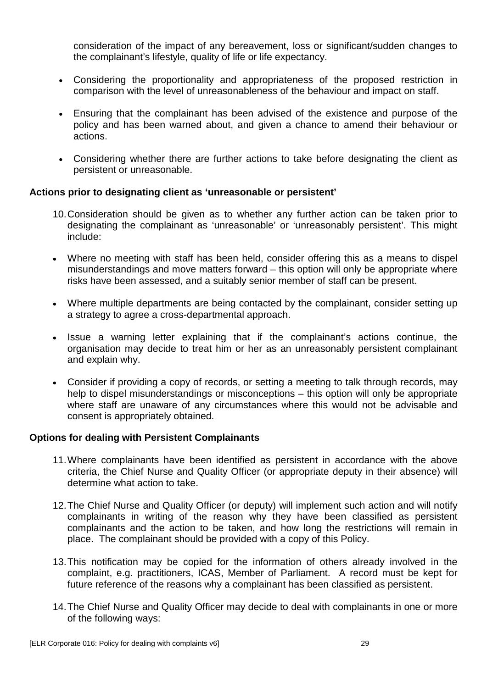consideration of the impact of any bereavement, loss or significant/sudden changes to the complainant's lifestyle, quality of life or life expectancy.

- Considering the proportionality and appropriateness of the proposed restriction in comparison with the level of unreasonableness of the behaviour and impact on staff.
- Ensuring that the complainant has been advised of the existence and purpose of the policy and has been warned about, and given a chance to amend their behaviour or actions.
- Considering whether there are further actions to take before designating the client as persistent or unreasonable.

### **Actions prior to designating client as 'unreasonable or persistent'**

- 10.Consideration should be given as to whether any further action can be taken prior to designating the complainant as 'unreasonable' or 'unreasonably persistent'. This might include:
- Where no meeting with staff has been held, consider offering this as a means to dispel misunderstandings and move matters forward – this option will only be appropriate where risks have been assessed, and a suitably senior member of staff can be present.
- Where multiple departments are being contacted by the complainant, consider setting up a strategy to agree a cross-departmental approach.
- Issue a warning letter explaining that if the complainant's actions continue, the organisation may decide to treat him or her as an unreasonably persistent complainant and explain why.
- Consider if providing a copy of records, or setting a meeting to talk through records, may help to dispel misunderstandings or misconceptions – this option will only be appropriate where staff are unaware of any circumstances where this would not be advisable and consent is appropriately obtained.

### **Options for dealing with Persistent Complainants**

- 11.Where complainants have been identified as persistent in accordance with the above criteria, the Chief Nurse and Quality Officer (or appropriate deputy in their absence) will determine what action to take.
- 12.The Chief Nurse and Quality Officer (or deputy) will implement such action and will notify complainants in writing of the reason why they have been classified as persistent complainants and the action to be taken, and how long the restrictions will remain in place. The complainant should be provided with a copy of this Policy.
- 13.This notification may be copied for the information of others already involved in the complaint, e.g. practitioners, ICAS, Member of Parliament. A record must be kept for future reference of the reasons why a complainant has been classified as persistent.
- 14.The Chief Nurse and Quality Officer may decide to deal with complainants in one or more of the following ways: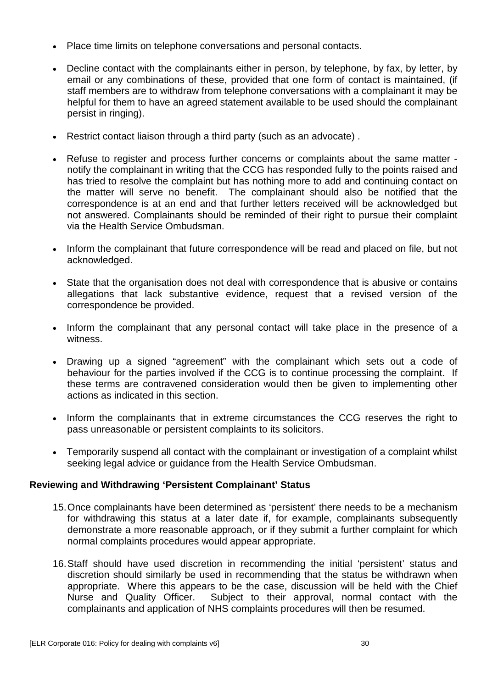- Place time limits on telephone conversations and personal contacts.
- Decline contact with the complainants either in person, by telephone, by fax, by letter, by email or any combinations of these, provided that one form of contact is maintained, (if staff members are to withdraw from telephone conversations with a complainant it may be helpful for them to have an agreed statement available to be used should the complainant persist in ringing).
- Restrict contact liaison through a third party (such as an advocate) .
- Refuse to register and process further concerns or complaints about the same matter notify the complainant in writing that the CCG has responded fully to the points raised and has tried to resolve the complaint but has nothing more to add and continuing contact on the matter will serve no benefit. The complainant should also be notified that the correspondence is at an end and that further letters received will be acknowledged but not answered. Complainants should be reminded of their right to pursue their complaint via the Health Service Ombudsman.
- Inform the complainant that future correspondence will be read and placed on file, but not acknowledged.
- State that the organisation does not deal with correspondence that is abusive or contains allegations that lack substantive evidence, request that a revised version of the correspondence be provided.
- Inform the complainant that any personal contact will take place in the presence of a witness.
- Drawing up a signed "agreement" with the complainant which sets out a code of behaviour for the parties involved if the CCG is to continue processing the complaint. If these terms are contravened consideration would then be given to implementing other actions as indicated in this section.
- Inform the complainants that in extreme circumstances the CCG reserves the right to pass unreasonable or persistent complaints to its solicitors.
- Temporarily suspend all contact with the complainant or investigation of a complaint whilst seeking legal advice or guidance from the Health Service Ombudsman.

### **Reviewing and Withdrawing 'Persistent Complainant' Status**

- 15.Once complainants have been determined as 'persistent' there needs to be a mechanism for withdrawing this status at a later date if, for example, complainants subsequently demonstrate a more reasonable approach, or if they submit a further complaint for which normal complaints procedures would appear appropriate.
- 16.Staff should have used discretion in recommending the initial 'persistent' status and discretion should similarly be used in recommending that the status be withdrawn when appropriate. Where this appears to be the case, discussion will be held with the Chief Nurse and Quality Officer. Subject to their approval, normal contact with the complainants and application of NHS complaints procedures will then be resumed.